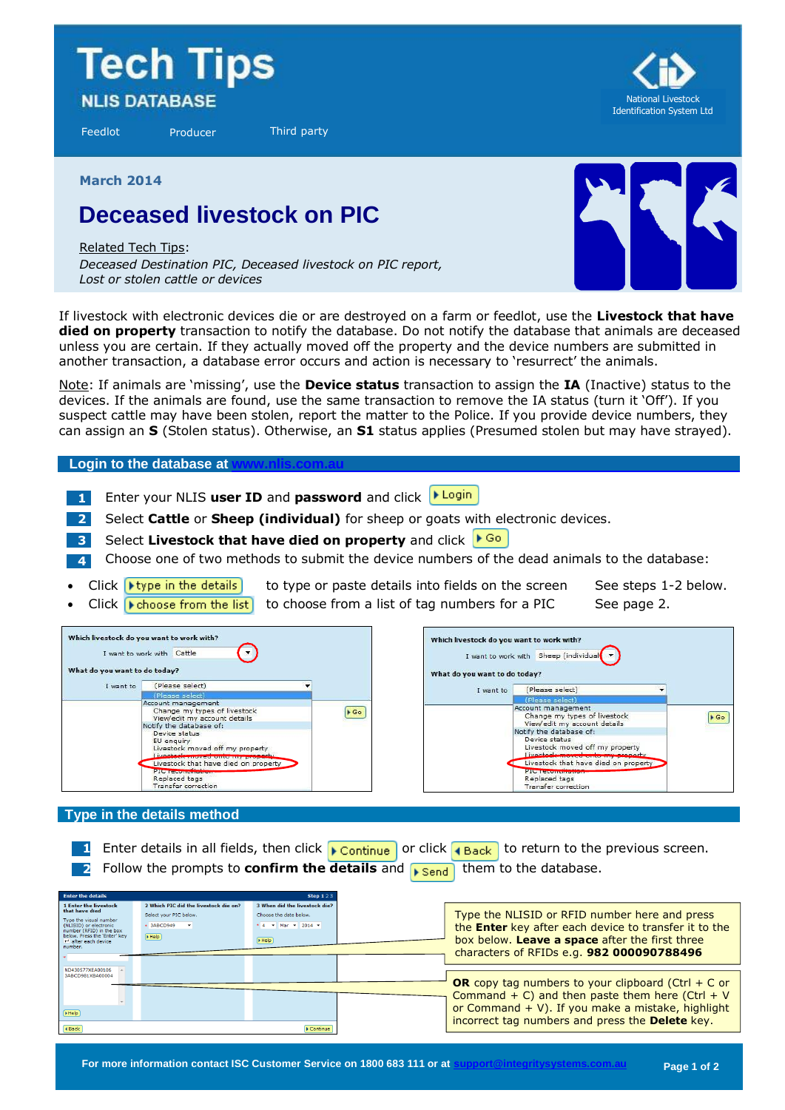# **Tech Tips NLIS DATABASE**

Feedlot Producer Third party



**March 2014**

## **Deceased livestock on PIC**

Related Tech Tips:

*Deceased Destination PIC, Deceased livestock on PIC report, Lost or stolen cattle or devices*



If livestock with electronic devices die or are destroyed on a farm or feedlot, use the **Livestock that have died on property** transaction to notify the database. Do not notify the database that animals are deceased unless you are certain. If they actually moved off the property and the device numbers are submitted in another transaction, a database error occurs and action is necessary to 'resurrect' the animals.

Note: If animals are 'missing', use the **Device status** transaction to assign the **IA** (Inactive) status to the devices. If the animals are found, use the same transaction to remove the IA status (turn it 'Off'). If you suspect cattle may have been stolen, report the matter to the Police. If you provide device numbers, they can assign an **S** (Stolen status). Otherwise, an **S1** status applies (Presumed stolen but may have strayed).

**Login to the database at** 

- **1** Enter your NLIS user ID and password and click **PLogin**
- **2** Select **Cattle** or **Sheep (individual)** for sheep or goats with electronic devices.
- **3** Select **Livestock that have died on property** and click
- **4** Choose one of two methods to submit the device numbers of the dead animals to the database:
- Click **I** type in the details to type or paste details into fields on the screen See steps 1-2 below.
- Click  $\blacktriangleright$  choose from the list to choose from a list of tag numbers for a PIC See page 2.

| What do you want to do today? | Which livestock do you want to work with?<br>I want to work with Cattle                                                                                                                                                                                                                                                                      |                     | Which livestock do you want to work with?<br>What do you want to do today? | I want to work with Sheep (individual                                                                                                                                                                                                                                                                                  |                     |
|-------------------------------|----------------------------------------------------------------------------------------------------------------------------------------------------------------------------------------------------------------------------------------------------------------------------------------------------------------------------------------------|---------------------|----------------------------------------------------------------------------|------------------------------------------------------------------------------------------------------------------------------------------------------------------------------------------------------------------------------------------------------------------------------------------------------------------------|---------------------|
| I want to                     | (Please select)                                                                                                                                                                                                                                                                                                                              |                     | I want to                                                                  | (Please select)                                                                                                                                                                                                                                                                                                        |                     |
|                               | (Please select)                                                                                                                                                                                                                                                                                                                              |                     |                                                                            | (Please select)                                                                                                                                                                                                                                                                                                        |                     |
|                               | Account management<br>Change my types of livestock<br>View/edit my account details<br>Notify the database of:<br>Device status<br>EU enquiry<br>Livestock moved off my property<br>Livestock moved only my proper<br>Livestock that have died on property<br><b>PILOT GRANDERS IN CASE OF</b><br>Replaced tags<br><b>Transfer correction</b> | $\triangleright$ Go |                                                                            | Account management<br>Change my types of livestock<br>View/edit my account details<br>Notify the database of:<br>Device status<br>Livestock moved off my property<br>Livestock moved onto my property<br>Livestock that have died on property<br><b>PIG recommended</b><br>Replaced tags<br><b>Transfer correction</b> | $\triangleright$ Go |

#### **Type in the details method**

**1** Enter details in all fields, then click **F** continue or click **T** Back to return to the previous screen. **2** Follow the prompts to **confirm the details** and **Figure 1** them to the database.